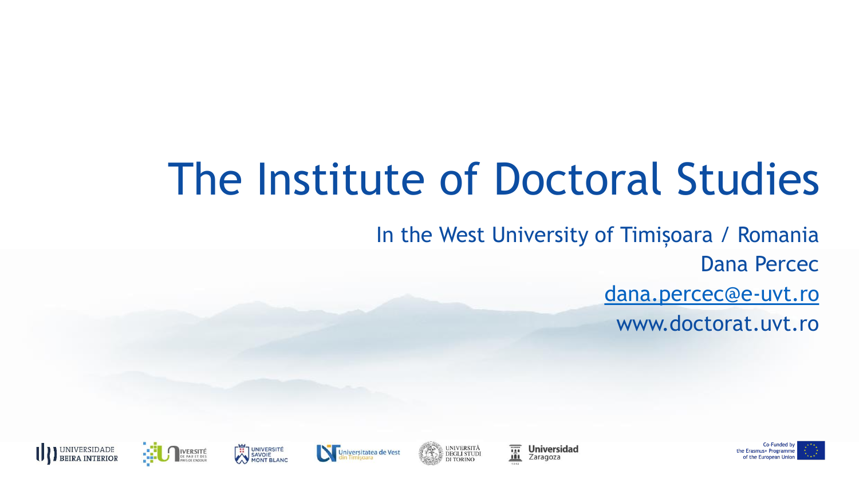## The Institute of Doctoral Studies

In the West University of Timișoara / Romania Dana Percec [dana.percec@e-uvt.ro](mailto:dana.percec@e-uvt.ro) www.doctorat.uvt.ro

**Universidad** 

Zaragoza







UNIVERSITÀ<br>DEGLI STUDI







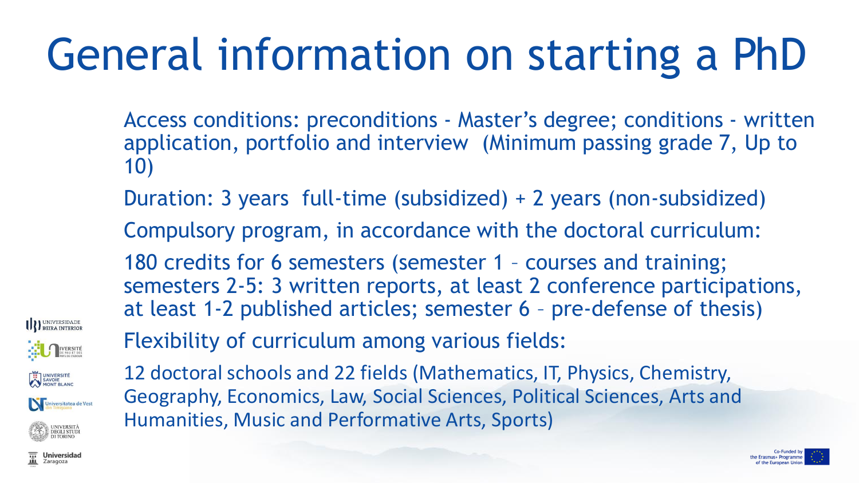# General information on starting a PhD

- Access conditions: preconditions Master's degree; conditions written application, portfolio and interview (Minimum passing grade 7, Up to 10)
- Duration: 3 years full-time (subsidized) + 2 years (non-subsidized)
- Compulsory program, in accordance with the doctoral curriculum:
- 180 credits for 6 semesters (semester 1 courses and training; semesters 2-5: 3 written reports, at least 2 conference participations, at least 1-2 published articles; semester 6 – pre-defense of thesis)



Flexibility of curriculum among various fields:

12 doctoral schools and 22 fields (Mathematics, IT, Physics, Chemistry, Geography, Economics, Law, Social Sciences, Political Sciences, Arts and Humanities, Music and Performative Arts, Sports)



**DEGLI STUDI**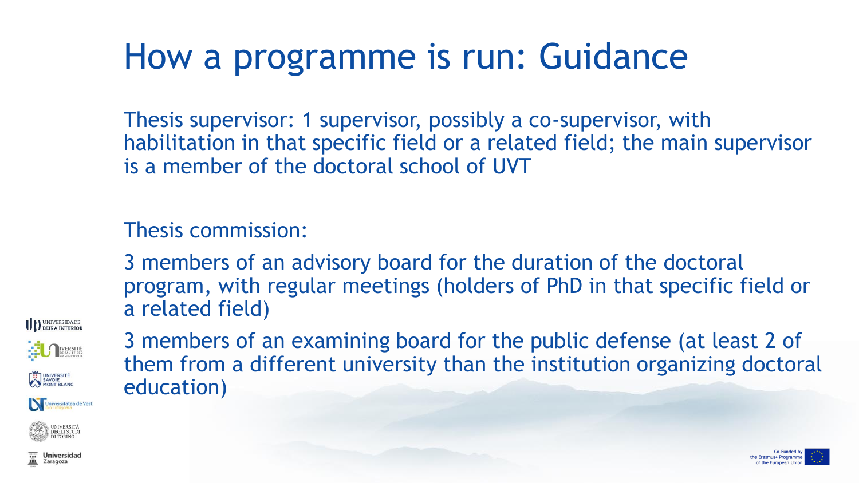### How a programme is run: Guidance

Thesis supervisor: 1 supervisor, possibly a co-supervisor, with habilitation in that specific field or a related field; the main supervisor is a member of the doctoral school of UVT

#### Thesis commission:

3 members of an advisory board for the duration of the doctoral program, with regular meetings (holders of PhD in that specific field or a related field)

**III**) UNIVERSIDADE

iversitatea de Vest

3 members of an examining board for the public defense (at least 2 of them from a different university than the institution organizing doctoral education)



**Universidad** Zaragoza

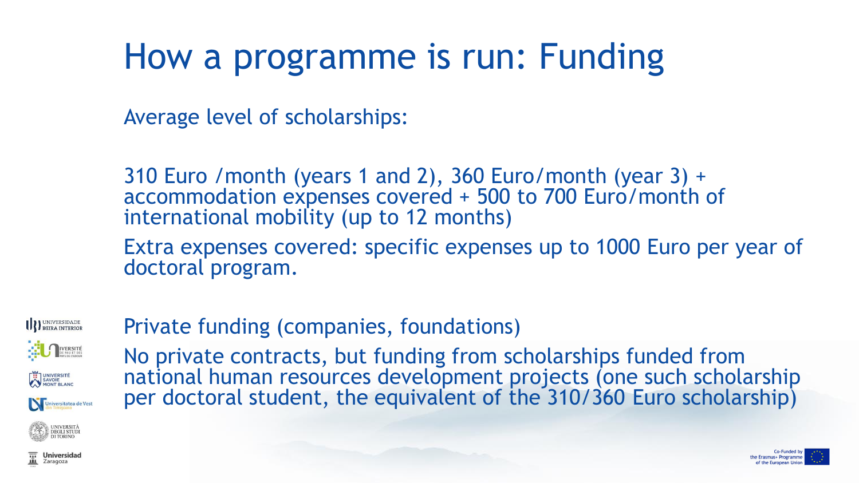## How a programme is run: Funding

Average level of scholarships:

310 Euro /month (years 1 and 2), 360 Euro/month (year 3) + accommodation expenses covered + 500 to 700 Euro/month of international mobility (up to 12 months)

Extra expenses covered: specific expenses up to 1000 Euro per year of doctoral program.

UNIVERSIDADE UNIVERSITÉ Universitatea de Vest

#### Private funding (companies, foundations)

No private contracts, but funding from scholarships funded from national human resources development projects (one such scholarship per doctoral student, the equivalent of the 310/360 Euro scholarship)



**DEGLI STUDI**